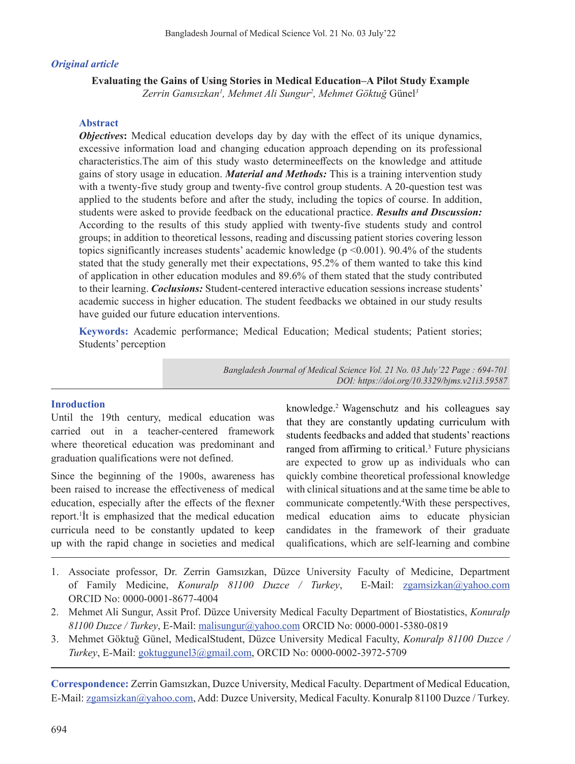## *Original article*

**Evaluating the Gains of Using Stories in Medical Education–A Pilot Study Example**

*Zerrin Gamsızkan<sup>1</sup> , Mehmet Ali Sungur2 , Mehmet Göktuğ* Günel*<sup>3</sup>*

## **Abstract**

*Objectives***:** Medical education develops day by day with the effect of its unique dynamics, excessive information load and changing education approach depending on its professional characteristics.The aim of this study wasto determineeffects on the knowledge and attitude gains of story usage in education. *Material and Methods:* This is a training intervention study with a twenty-five study group and twenty-five control group students. A 20-question test was applied to the students before and after the study, including the topics of course. In addition, students were asked to provide feedback on the educational practice. *Results and Dıscussion:* According to the results of this study applied with twenty-five students study and control groups; in addition to theoretical lessons, reading and discussing patient stories covering lesson topics significantly increases students' academic knowledge (p <0.001). 90.4% of the students stated that the study generally met their expectations, 95.2% of them wanted to take this kind of application in other education modules and 89.6% of them stated that the study contributed to their learning. *Coclusions:* Student-centered interactive education sessions increase students' academic success in higher education. The student feedbacks we obtained in our study results have guided our future education interventions.

**Keywords:** Academic performance; Medical Education; Medical students; Patient stories; Students' perception

> *Bangladesh Journal of Medical Science Vol. 21 No. 03 July'22 Page : 694-701 DOI: https://doi.org/10.3329/bjms.v21i3.59587*

### **Inroduction**

Until the 19th century, medical education was carried out in a teacher-centered framework where theoretical education was predominant and graduation qualifications were not defined.

Since the beginning of the 1900s, awareness has been raised to increase the effectiveness of medical education, especially after the effects of the flexner report.1 İt is emphasized that the medical education curricula need to be constantly updated to keep up with the rapid change in societies and medical knowledge.<sup>2</sup>Wagenschutz and his colleagues say that they are constantly updating curriculum with students feedbacks and added that students'reactions ranged from affirming to critical.<sup>3</sup> Future physicians are expected to grow up as individuals who can quickly combine theoretical professional knowledge with clinical situations and at the same time be able to communicate competently. 4 With these perspectives, medical education aims to educate physician candidates in the framework of their graduate qualifications, which are self-learning and combine

- 1. Associate professor, Dr. Zerrin Gamsızkan, Düzce University Faculty of Medicine, Department of Family Medicine, *Konuralp 81100 Duzce / Turkey*, E-Mail: zgamsizkan@yahoo.com ORCID No: 0000-0001-8677-4004
- 2. Mehmet Ali Sungur, Assit Prof. Düzce University Medical Faculty Department of Biostatistics, *Konuralp 81100 Duzce / Turkey*, E-Mail: malisungur@yahoo.com ORCID No: 0000-0001-5380-0819
- 3. Mehmet Göktuğ Günel, MedicalStudent, Düzce University Medical Faculty, *Konuralp 81100 Duzce / Turkey*, E-Mail: goktuggunel3@gmail.com, ORCID No: 0000-0002-3972-5709

**Correspondence:** Zerrin Gamsızkan, Duzce University, Medical Faculty. Department of Medical Education, E-Mail: zgamsizkan@yahoo.com, Add: Duzce University, Medical Faculty. Konuralp 81100 Duzce / Turkey.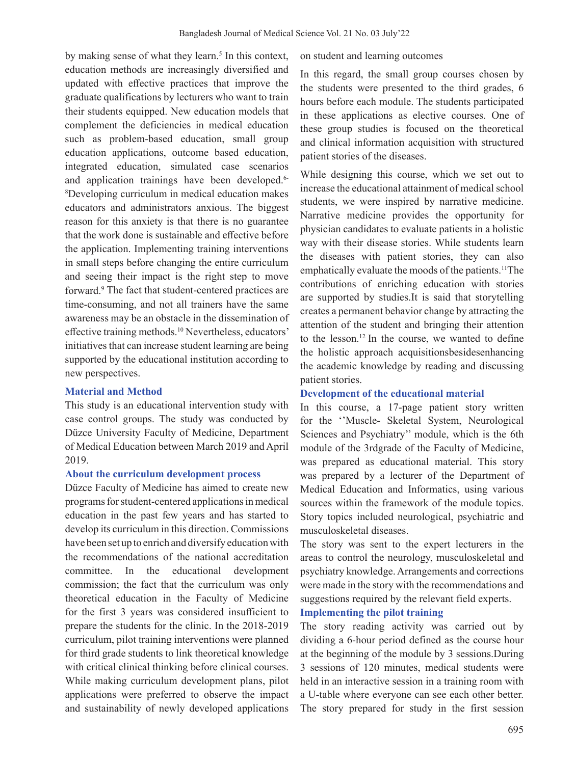by making sense of what they learn.<sup>5</sup> In this context, education methods are increasingly diversified and updated with effective practices that improve the graduate qualifications by lecturers who want to train their students equipped. New education models that complement the deficiencies in medical education such as problem-based education, small group education applications, outcome based education, integrated education, simulated case scenarios and application trainings have been developed.<sup>6-</sup> 8 Developing curriculum in medical education makes educators and administrators anxious. The biggest reason for this anxiety is that there is no guarantee that the work done is sustainable and effective before the application. Implementing training interventions in small steps before changing the entire curriculum and seeing their impact is the right step to move forward.9 The fact that student-centered practices are time-consuming, and not all trainers have the same awareness may be an obstacle in the dissemination of effective training methods.<sup>10</sup> Nevertheless, educators' initiatives that can increase student learning are being supported by the educational institution according to new perspectives.

#### **Material and Method**

This study is an educational intervention study with case control groups. The study was conducted by Düzce University Faculty of Medicine, Department of Medical Education between March 2019 and April 2019.

#### **About the curriculum development process**

Düzce Faculty of Medicine has aimed to create new programs for student-centered applications in medical education in the past few years and has started to develop its curriculum in this direction. Commissions have been set up to enrich and diversify education with the recommendations of the national accreditation committee. In the educational development commission; the fact that the curriculum was only theoretical education in the Faculty of Medicine for the first 3 years was considered insufficient to prepare the students for the clinic. In the 2018-2019 curriculum, pilot training interventions were planned for third grade students to link theoretical knowledge with critical clinical thinking before clinical courses. While making curriculum development plans, pilot applications were preferred to observe the impact and sustainability of newly developed applications on student and learning outcomes

In this regard, the small group courses chosen by the students were presented to the third grades, 6 hours before each module. The students participated in these applications as elective courses. One of these group studies is focused on the theoretical and clinical information acquisition with structured patient stories of the diseases.

While designing this course, which we set out to increase the educational attainment of medical school students, we were inspired by narrative medicine. Narrative medicine provides the opportunity for physician candidates to evaluate patients in a holistic way with their disease stories. While students learn the diseases with patient stories, they can also emphatically evaluate the moods of the patients.<sup>11</sup>The contributions of enriching education with stories are supported by studies.It is said that storytelling creates a permanent behavior change by attracting the attention of the student and bringing their attention to the lesson.12 In the course, we wanted to define the holistic approach acquisitionsbesidesenhancing the academic knowledge by reading and discussing patient stories.

### **Development of the educational material**

In this course, a 17-page patient story written for the ''Muscle- Skeletal System, Neurological Sciences and Psychiatry'' module, which is the 6th module of the 3rdgrade of the Faculty of Medicine, was prepared as educational material. This story was prepared by a lecturer of the Department of Medical Education and Informatics, using various sources within the framework of the module topics. Story topics included neurological, psychiatric and musculoskeletal diseases.

The story was sent to the expert lecturers in the areas to control the neurology, musculoskeletal and psychiatry knowledge.Arrangements and corrections were made in the story with the recommendations and suggestions required by the relevant field experts.

## **Implementing the pilot training**

The story reading activity was carried out by dividing a 6-hour period defined as the course hour at the beginning of the module by 3 sessions.During 3 sessions of 120 minutes, medical students were held in an interactive session in a training room with a U-table where everyone can see each other better. The story prepared for study in the first session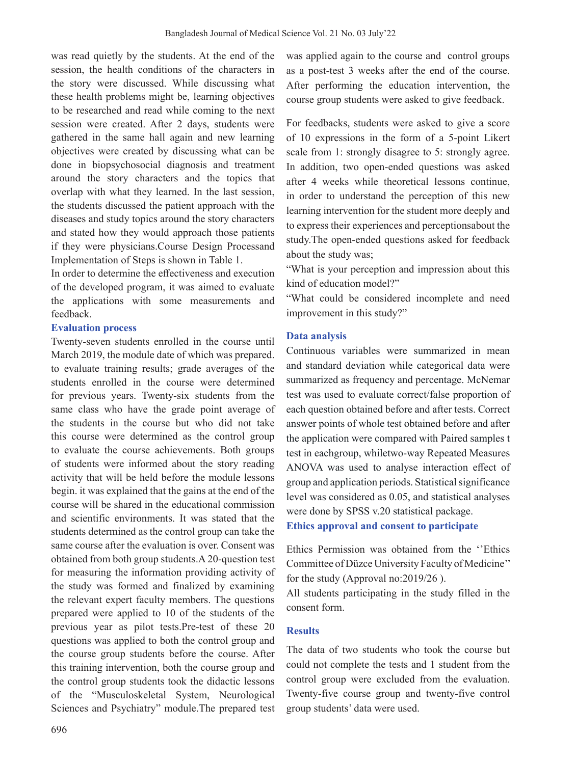was read quietly by the students. At the end of the session, the health conditions of the characters in the story were discussed. While discussing what these health problems might be, learning objectives to be researched and read while coming to the next session were created. After 2 days, students were gathered in the same hall again and new learning objectives were created by discussing what can be done in biopsychosocial diagnosis and treatment around the story characters and the topics that overlap with what they learned. In the last session, the students discussed the patient approach with the diseases and study topics around the story characters and stated how they would approach those patients if they were physicians.Course Design Processand Implementation of Steps is shown in Table 1.

In order to determine the effectiveness and execution of the developed program, it was aimed to evaluate the applications with some measurements and feedback.

#### **Evaluation process**

Twenty-seven students enrolled in the course until March 2019, the module date of which was prepared. to evaluate training results; grade averages of the students enrolled in the course were determined for previous years. Twenty-six students from the same class who have the grade point average of the students in the course but who did not take this course were determined as the control group to evaluate the course achievements. Both groups of students were informed about the story reading activity that will be held before the module lessons begin. it was explained that the gains at the end of the course will be shared in the educational commission and scientific environments. It was stated that the students determined as the control group can take the same course after the evaluation is over. Consent was obtained from both group students.A 20-question test for measuring the information providing activity of the study was formed and finalized by examining the relevant expert faculty members. The questions prepared were applied to 10 of the students of the previous year as pilot tests.Pre-test of these 20 questions was applied to both the control group and the course group students before the course. After this training intervention, both the course group and the control group students took the didactic lessons of the "Musculoskeletal System, Neurological Sciences and Psychiatry" module.The prepared test

was applied again to the course and control groups as a post-test 3 weeks after the end of the course. After performing the education intervention, the course group students were asked to give feedback.

For feedbacks, students were asked to give a score of 10 expressions in the form of a 5-point Likert scale from 1: strongly disagree to 5: strongly agree. In addition, two open-ended questions was asked after 4 weeks while theoretical lessons continue, in order to understand the perception of this new learning intervention for the student more deeply and to express their experiences and perceptionsabout the study.The open-ended questions asked for feedback about the study was;

"What is your perception and impression about this kind of education model?"

"What could be considered incomplete and need improvement in this study?"

### **Data analysis**

Continuous variables were summarized in mean and standard deviation while categorical data were summarized as frequency and percentage. McNemar test was used to evaluate correct/false proportion of each question obtained before and after tests. Correct answer points of whole test obtained before and after the application were compared with Paired samples t test in eachgroup, whiletwo-way Repeated Measures ANOVA was used to analyse interaction effect of group and application periods. Statisticalsignificance level was considered as 0.05, and statistical analyses were done by SPSS v.20 statistical package. **Ethics approval and consent to participate**

Ethics Permission was obtained from the ''Ethics Committee of Düzce University Faculty of Medicine" for the study (Approval no:2019/26 ).

All students participating in the study filled in the consent form.

# **Results**

The data of two students who took the course but could not complete the tests and 1 student from the control group were excluded from the evaluation. Twenty-five course group and twenty-five control group students' data were used.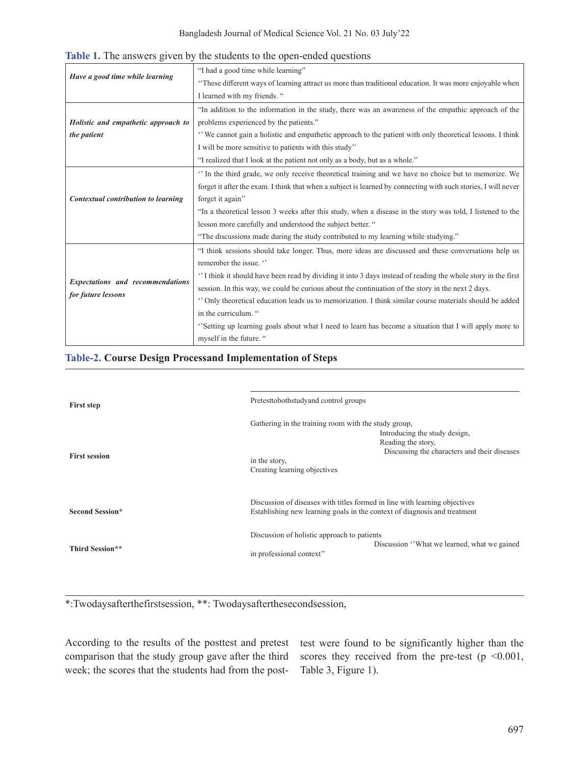|                                         | "I had a good time while learning"                                                                             |  |  |  |
|-----------------------------------------|----------------------------------------------------------------------------------------------------------------|--|--|--|
| Have a good time while learning         | "These different ways of learning attract us more than traditional education. It was more enjoyable when       |  |  |  |
|                                         | I learned with my friends. "                                                                                   |  |  |  |
|                                         | "In addition to the information in the study, there was an awareness of the empathic approach of the           |  |  |  |
| Holistic and empathetic approach to     | problems experienced by the patients."                                                                         |  |  |  |
| the patient                             | "We cannot gain a holistic and empathetic approach to the patient with only theoretical lessons. I think       |  |  |  |
|                                         | I will be more sensitive to patients with this study"                                                          |  |  |  |
|                                         | "I realized that I look at the patient not only as a body, but as a whole."                                    |  |  |  |
|                                         | " In the third grade, we only receive theoretical training and we have no choice but to memorize. We           |  |  |  |
|                                         | forget it after the exam. I think that when a subject is learned by connecting with such stories, I will never |  |  |  |
| Contextual contribution to learning     | forget it again"                                                                                               |  |  |  |
|                                         | "In a theoretical lesson 3 weeks after this study, when a disease in the story was told, I listened to the     |  |  |  |
|                                         | lesson more carefully and understood the subject better. "                                                     |  |  |  |
|                                         | "The discussions made during the study contributed to my learning while studying."                             |  |  |  |
|                                         | "I think sessions should take longer. Thus, more ideas are discussed and these conversations help us           |  |  |  |
|                                         | remember the issue. "                                                                                          |  |  |  |
|                                         | I think it should have been read by dividing it into 3 days instead of reading the whole story in the first    |  |  |  |
| <b>Expectations and recommendations</b> | session. In this way, we could be curious about the continuation of the story in the next 2 days.              |  |  |  |
| for future lessons                      | " Only theoretical education leads us to memorization. I think similar course materials should be added        |  |  |  |
|                                         | in the curriculum. "                                                                                           |  |  |  |
|                                         | "Setting up learning goals about what I need to learn has become a situation that I will apply more to         |  |  |  |
|                                         | myself in the future. "                                                                                        |  |  |  |

**Table 1.** The answers given by the students to the open-ended questions

## **Table-2. Course Design Processand Implementation of Steps**

| <b>First step</b>      | Pretesttobothstudyand control groups                                                                                                                                                                         |  |  |  |
|------------------------|--------------------------------------------------------------------------------------------------------------------------------------------------------------------------------------------------------------|--|--|--|
| <b>First session</b>   | Gathering in the training room with the study group,<br>Introducing the study design,<br>Reading the story,<br>Discussing the characters and their diseases<br>in the story,<br>Creating learning objectives |  |  |  |
| <b>Second Session*</b> | Discussion of diseases with titles formed in line with learning objectives<br>Establishing new learning goals in the context of diagnosis and treatment                                                      |  |  |  |
| Third Session**        | Discussion of holistic approach to patients<br>Discussion "What we learned, what we gained<br>in professional context"                                                                                       |  |  |  |

\*:Twodaysafterthefirstsession, \*\*: Twodaysafterthesecondsession,

According to the results of the posttest and pretest comparison that the study group gave after the third week; the scores that the students had from the posttest were found to be significantly higher than the scores they received from the pre-test ( $p \le 0.001$ , Table 3, Figure 1).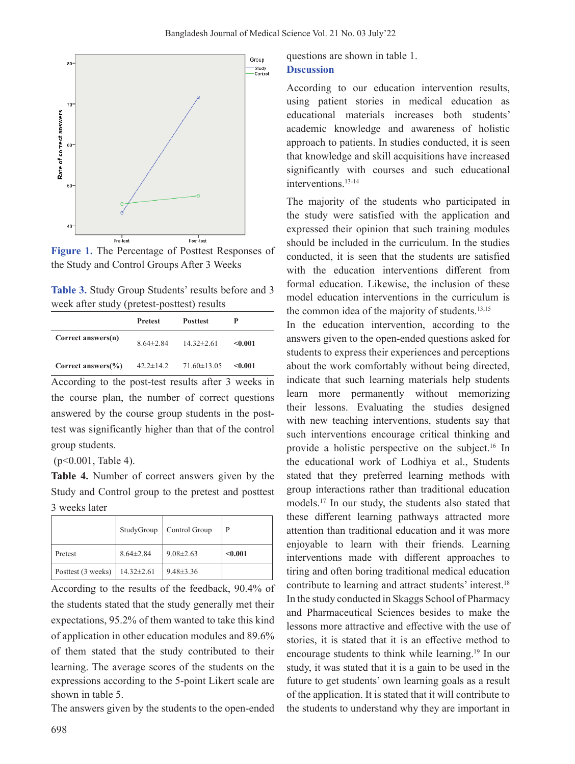

**Figure 1.** The Percentage of Posttest Responses of the Study and Control Groups After 3 Weeks

| Table 3. Study Group Students' results before and 3 |  |  |
|-----------------------------------------------------|--|--|
| week after study (pretest-posttest) results         |  |  |

|                               | <b>Pretest</b>  | <b>Posttest</b>   |         |
|-------------------------------|-----------------|-------------------|---------|
| Correct answers(n)            | $8.64 \pm 2.84$ | $14.32 \pm 2.61$  | < 0.001 |
| Correct answers $\frac{6}{6}$ | $42.2 \pm 14.2$ | $71.60 \pm 13.05$ | < 0.001 |

According to the post-test results after 3 weeks in the course plan, the number of correct questions answered by the course group students in the posttest was significantly higher than that of the control group students.

(p<0.001, Table 4).

**Table 4.** Number of correct answers given by the Study and Control group to the pretest and posttest 3 weeks later

|                    | StudyGroup       | Control Group   | P       |
|--------------------|------------------|-----------------|---------|
| Pretest            | $8.64 \pm 2.84$  | $9.08 \pm 2.63$ | < 0.001 |
| Posttest (3 weeks) | $14.32 \pm 2.61$ | $9.48 \pm 3.36$ |         |

According to the results of the feedback, 90.4% of the students stated that the study generally met their expectations, 95.2% of them wanted to take this kind of application in other education modules and 89.6% of them stated that the study contributed to their learning. The average scores of the students on the expressions according to the 5-point Likert scale are shown in table 5.

The answers given by the students to the open-ended

questions are shown in table 1. **Dıscussion**

According to our education intervention results, using patient stories in medical education as educational materials increases both students' academic knowledge and awareness of holistic approach to patients. In studies conducted, it is seen that knowledge and skill acquisitions have increased significantly with courses and such educational interventions.<sup>13-14</sup>

The majority of the students who participated in the study were satisfied with the application and expressed their opinion that such training modules should be included in the curriculum. In the studies conducted, it is seen that the students are satisfied with the education interventions different from formal education. Likewise, the inclusion of these model education interventions in the curriculum is the common idea of the majority of students.<sup>13,15</sup>

In the education intervention, according to the answers given to the open-ended questions asked for students to express their experiences and perceptions about the work comfortably without being directed, indicate that such learning materials help students learn more permanently without memorizing their lessons. Evaluating the studies designed with new teaching interventions, students say that such interventions encourage critical thinking and provide a holistic perspective on the subject.16 In the educational work of Lodhiya et al., Students stated that they preferred learning methods with group interactions rather than traditional education models.<sup>17</sup> In our study, the students also stated that these different learning pathways attracted more attention than traditional education and it was more enjoyable to learn with their friends. Learning interventions made with different approaches to tiring and often boring traditional medical education contribute to learning and attract students' interest.<sup>18</sup> In the study conducted in Skaggs School of Pharmacy and Pharmaceutical Sciences besides to make the lessons more attractive and effective with the use of stories, it is stated that it is an effective method to encourage students to think while learning.19 In our study, it was stated that it is a gain to be used in the future to get students' own learning goals as a result of the application. It is stated that it will contribute to the students to understand why they are important in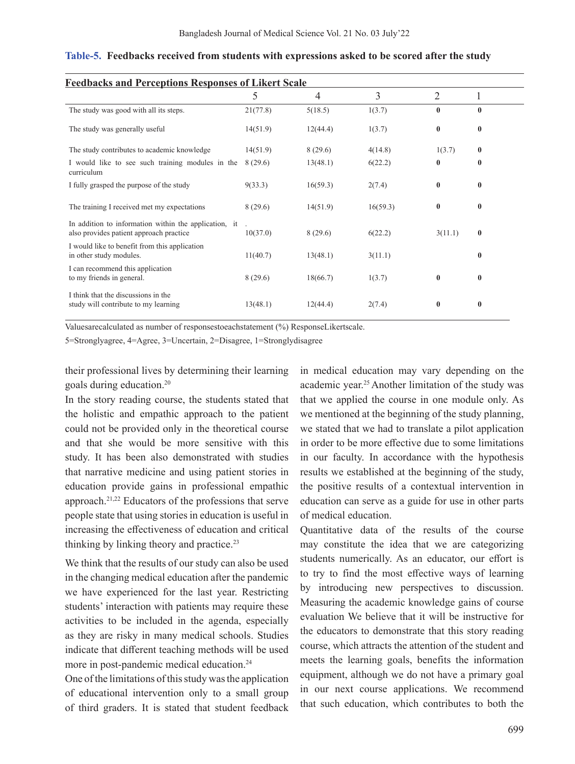| <b>Feedbacks and Perceptions Responses of Likert Scale</b>                                       |          |          |          |                |          |  |
|--------------------------------------------------------------------------------------------------|----------|----------|----------|----------------|----------|--|
|                                                                                                  | 5        | 4        | 3        | $\overline{2}$ |          |  |
| The study was good with all its steps.                                                           | 21(77.8) | 5(18.5)  | 1(3.7)   | $\bf{0}$       | $\bf{0}$ |  |
| The study was generally useful                                                                   | 14(51.9) | 12(44.4) | 1(3.7)   | $\bf{0}$       | $\bf{0}$ |  |
| The study contributes to academic knowledge                                                      | 14(51.9) | 8(29.6)  | 4(14.8)  | 1(3.7)         | $\bf{0}$ |  |
| I would like to see such training modules in the<br>curriculum                                   | 8(29.6)  | 13(48.1) | 6(22.2)  | $\bf{0}$       | $\bf{0}$ |  |
| I fully grasped the purpose of the study                                                         | 9(33.3)  | 16(59.3) | 2(7.4)   | $\bf{0}$       | $\bf{0}$ |  |
| The training I received met my expectations                                                      | 8(29.6)  | 14(51.9) | 16(59.3) | $\bf{0}$       | $\bf{0}$ |  |
| In addition to information within the application, it<br>also provides patient approach practice | 10(37.0) | 8(29.6)  | 6(22.2)  | 3(11.1)        | $\bf{0}$ |  |
| I would like to benefit from this application<br>in other study modules.                         | 11(40.7) | 13(48.1) | 3(11.1)  |                | $\bf{0}$ |  |
| I can recommend this application<br>to my friends in general.                                    | 8(29.6)  | 18(66.7) | 1(3.7)   | $\bf{0}$       | $\bf{0}$ |  |
| I think that the discussions in the<br>study will contribute to my learning                      | 13(48.1) | 12(44.4) | 2(7.4)   | $\bf{0}$       | $\bf{0}$ |  |

#### **Table-5. Feedbacks received from students with expressions asked to be scored after the study**

Valuesarecalculated as number of responsestoeachstatement (%) ResponseLikertscale.

5=Stronglyagree, 4=Agree, 3=Uncertain, 2=Disagree, 1=Stronglydisagree

their professional lives by determining their learning goals during education.<sup>20</sup>

In the story reading course, the students stated that the holistic and empathic approach to the patient could not be provided only in the theoretical course and that she would be more sensitive with this study. It has been also demonstrated with studies that narrative medicine and using patient stories in education provide gains in professional empathic approach.21,22 Educators of the professions that serve people state that using stories in education is useful in increasing the effectiveness of education and critical thinking by linking theory and practice.<sup>23</sup>

We think that the results of our study can also be used in the changing medical education after the pandemic we have experienced for the last year. Restricting students' interaction with patients may require these activities to be included in the agenda, especially as they are risky in many medical schools. Studies indicate that different teaching methods will be used more in post-pandemic medical education.<sup>24</sup>

One of the limitations of this study was the application of educational intervention only to a small group of third graders. It is stated that student feedback in medical education may vary depending on the academic year.<sup>25</sup>Another limitation of the study was that we applied the course in one module only. As we mentioned at the beginning of the study planning, we stated that we had to translate a pilot application in order to be more effective due to some limitations in our faculty. In accordance with the hypothesis results we established at the beginning of the study, the positive results of a contextual intervention in education can serve as a guide for use in other parts of medical education.

Quantitative data of the results of the course may constitute the idea that we are categorizing students numerically. As an educator, our effort is to try to find the most effective ways of learning by introducing new perspectives to discussion. Measuring the academic knowledge gains of course evaluation We believe that it will be instructive for the educators to demonstrate that this story reading course, which attracts the attention of the student and meets the learning goals, benefits the information equipment, although we do not have a primary goal in our next course applications. We recommend that such education, which contributes to both the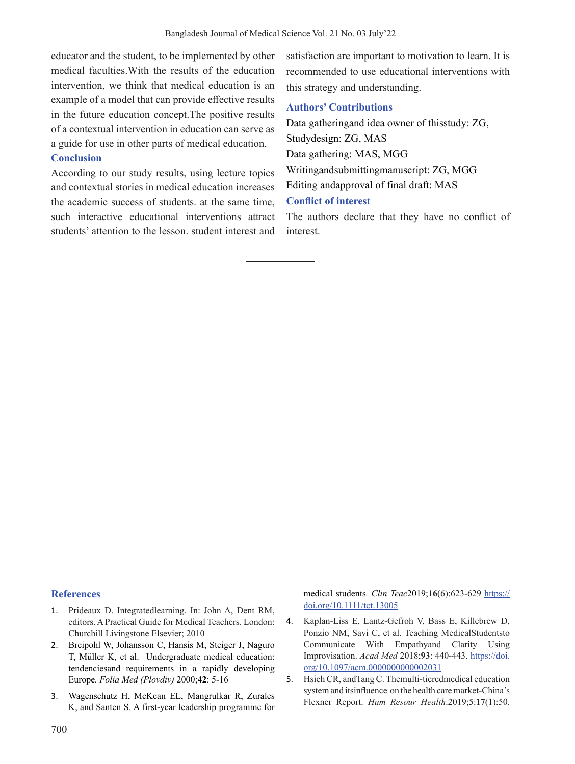educator and the student, to be implemented by other medical faculties.With the results of the education intervention, we think that medical education is an example of a model that can provide effective results in the future education concept.The positive results of a contextual intervention in education can serve as a guide for use in other parts of medical education.

# **Conclusion**

According to our study results, using lecture topics and contextual stories in medical education increases the academic success of students. at the same time, such interactive educational interventions attract students' attention to the lesson. student interest and satisfaction are important to motivation to learn. It is recommended to use educational interventions with this strategy and understanding.

## **Authors' Contributions**

Data gatheringand idea owner of thisstudy: ZG, Studydesign: ZG, MAS Data gathering: MAS, MGG Writingandsubmittingmanuscript: ZG, MGG Editing andapproval of final draft: MAS **Conflict of interest**

The authors declare that they have no conflict of interest.

#### **References**

- 1. Prideaux D. Integratedlearning. In: John A, Dent RM, editors.APractical Guide for Medical Teachers. London: Churchill Livingstone Elsevier; 2010
- 2. Breipohl W, Johansson C, Hansis M, Steiger J, Naguro T, Müller K, et al. Undergraduate medical education: tendenciesand requirements in a rapidly developing Europe*. Folia Med (Plovdiv)* 2000;**42**: 5-16
- 3. Wagenschutz H, McKean EL, Mangrulkar R, Zurales K, and Santen S. A first-year leadership programme for

medical students*. Clin Teac*2019;**16**(6):623-629 https:// doi.org/10.1111/tct.13005

- 4. Kaplan-Liss E, Lantz-Gefroh V, Bass E, Killebrew D, Ponzio NM, Savi C, et al. Teaching MedicalStudentsto Communicate With Empathyand Clarity Using Improvisation. *Acad Med* 2018;**93**: 440-443. https://doi. org/10.1097/acm.0000000000002031
- 5. Hsieh CR, andTang C. Themulti-tieredmedical education systemand itsinfluence on the health caremarket-China's Flexner Report. *Hum Resour Health*.2019;5:**17**(1):50.